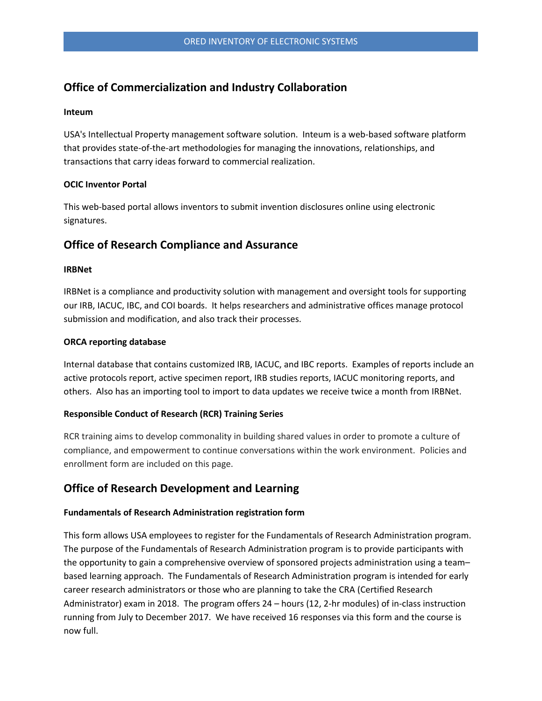## **Office of Commercialization and Industry Collaboration**

#### **Inteum**

USA's Intellectual Property management software solution. Inteum is a web-based software platform that provides state-of-the-art methodologies for managing the innovations, relationships, and transactions that carry ideas forward to commercial realization.

## **OCIC Inventor Portal**

 This web-based portal allows inventors to submit invention disclosures online using electronic signatures.

# **Office of Research Compliance and Assurance**

### **IRBNet**

IRBNet is a compliance and productivity solution with management and oversight tools for supporting our IRB, IACUC, IBC, and COI boards. It helps researchers and administrative offices manage protocol submission and modification, and also track their processes.

### **ORCA reporting database**

Internal database that contains customized IRB, IACUC, and IBC reports. Examples of reports include an active protocols report, active specimen report, IRB studies reports, IACUC monitoring reports, and others. Also has an importing tool to import to data updates we receive twice a month from IRBNet.

## **Responsible Conduct of Research (RCR) Training Series**

 compliance, and empowerment to continue conversations within the work environment. Policies and RCR training aims to develop commonality in building shared values in order to promote a culture of enrollment form are included on this page.

# **Office of Research Development and Learning**

## **Fundamentals of Research Administration registration form**

This form allows USA employees to register for the Fundamentals of Research Administration program.<br>The purpose of the Fundamentals of Research Administration program is to provide participants with based learning approach. The Fundamentals of Research Administration program is intended for early career research administrators or those who are planning to take the CRA (Certified Research Administrator) exam in 2018. The program offers 24 – hours (12, 2-hr modules) of in-class instruction running from July to December 2017. We have received 16 responses via this form and the course is the opportunity to gain a comprehensive overview of sponsored projects administration using a team– now full.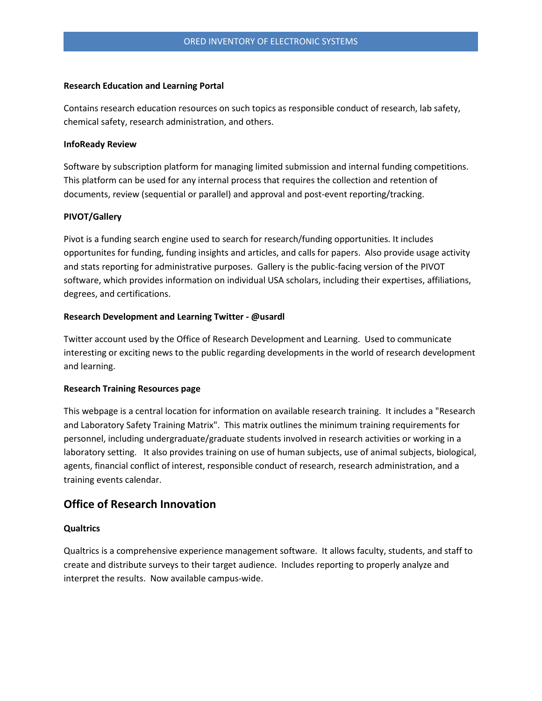#### **Research Education and Learning Portal**

 Contains research education resources on such topics as responsible conduct of research, lab safety, chemical safety, research administration, and others.

### **InfoReady Review**

Software by subscription platform for managing limited submission and internal funding competitions.<br>This platform can be used for any internal process that requires the collection and retention of documents, review (sequential or parallel) and approval and post-event reporting/tracking.

#### **PIVOT/Gallery**

 opportunites for funding, funding insights and articles, and calls for papers. Also provide usage activity Pivot is a funding search engine used to search for research/funding opportunities. It includes and stats reporting for administrative purposes. Gallery is the public-facing version of the PIVOT software, which provides information on individual USA scholars, including their expertises, affiliations, degrees, and certifications.

#### **Research Development and Learning Twitter - @usardl**

 interesting or exciting news to the public regarding developments in the world of research development Twitter account used by the Office of Research Development and Learning. Used to communicate and learning.

#### **Research Training Resources page**

 This webpage is a central location for information on available research training. It includes a "Research and Laboratory Safety Training Matrix". This matrix outlines the minimum training requirements for personnel, including undergraduate/graduate students involved in research activities or working in a laboratory setting. It also provides training on use of human subjects, use of animal subjects, biological, agents, financial conflict of interest, responsible conduct of research, research administration, and a training events calendar.

## **Office of Research Innovation**

#### **Qualtrics**

 create and distribute surveys to their target audience. Includes reporting to properly analyze and Qualtrics is a comprehensive experience management software. It allows faculty, students, and staff to interpret the results. Now available campus-wide.